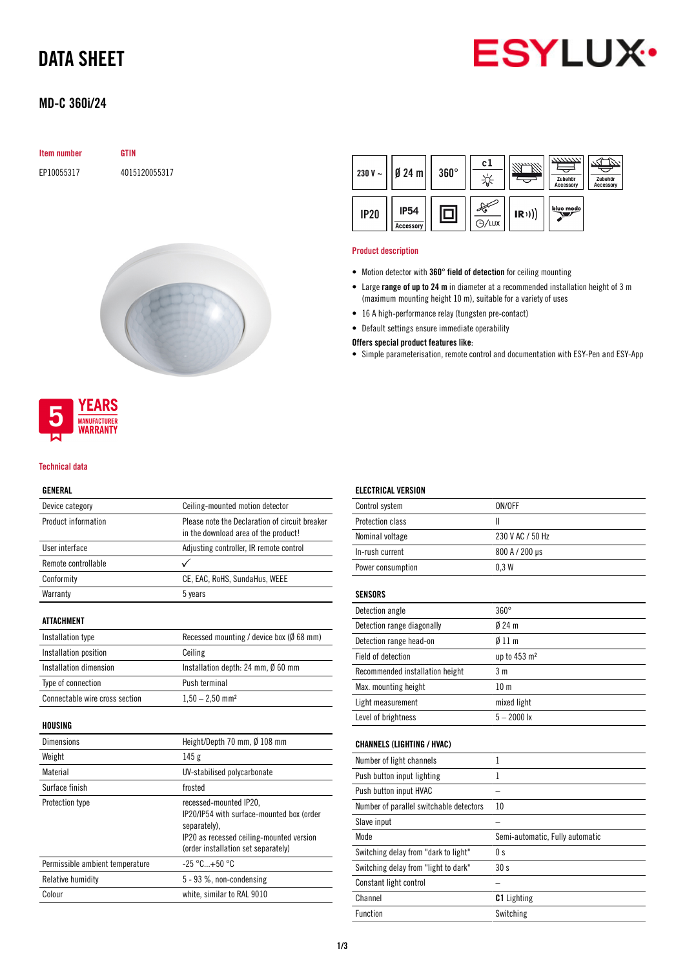# DATA SHEET



## MD-C 360i/24

| <b>Item number</b> | GTIN          |  |
|--------------------|---------------|--|
| EP10055317         | 4015120055317 |  |





#### Technical data

### GENERAL

| Device category                | Ceiling-mounted motion detector                                                                                                 |  |
|--------------------------------|---------------------------------------------------------------------------------------------------------------------------------|--|
| Product information            | Please note the Declaration of circuit breaker<br>in the download area of the product!                                          |  |
| User interface                 | Adjusting controller, IR remote control                                                                                         |  |
| Remote controllable            | $\checkmark$                                                                                                                    |  |
| Conformity                     | CE, EAC, RoHS, SundaHus, WEEE                                                                                                   |  |
| Warranty                       | 5 years                                                                                                                         |  |
| ATTACHMENT                     |                                                                                                                                 |  |
| Installation type              | Recessed mounting / device box (Ø 68 mm)                                                                                        |  |
| Installation position          | Ceiling                                                                                                                         |  |
| Installation dimension         | Installation depth: 24 mm, $\emptyset$ 60 mm                                                                                    |  |
| Type of connection             | Push terminal                                                                                                                   |  |
| Connectable wire cross section | $1,50 - 2,50$ mm <sup>2</sup>                                                                                                   |  |
| HOUSING                        |                                                                                                                                 |  |
| Dimensions                     | Height/Depth 70 mm, Ø 108 mm                                                                                                    |  |
| Weight                         | 145g                                                                                                                            |  |
| Material                       | UV-stabilised polycarbonate                                                                                                     |  |
| Surface finish                 | frosted                                                                                                                         |  |
| Protection type                | recessed-mounted IP20,<br>IP20/IP54 with surface-mounted box (order<br>separately).<br>IP20 as recessed ceiling-mounted version |  |

| (order installation set separately)                      |
|----------------------------------------------------------|
| $-25\,^{\circ}\mathrm{C}_{\dots}+50\,^{\circ}\mathrm{C}$ |
| $5 - 93$ %, non-condensing                               |
| white, similar to RAL 9010                               |
|                                                          |



#### Product description

- Motion detector with 360° field of detection for ceiling mounting
- Large range of up to 24 m in diameter at a recommended installation height of 3 m (maximum mounting height 10 m), suitable for a variety of uses
- 16 A high-performance relay (tungsten pre-contact)
- Default settings ensure immediate operability

#### Offers special product features like:

• Simple parameterisation, remote control and documentation with ESY-Pen and ESY-App

| <b>ELECTRICAL VERSION</b>               |                                 |
|-----------------------------------------|---------------------------------|
| Control system                          | ON/OFF                          |
| Protection class                        | Ш                               |
| Nominal voltage                         | 230 V AC / 50 Hz                |
| In-rush current                         | 800 A / 200 µs                  |
| Power consumption                       | 0.3W                            |
| <b>SENSORS</b>                          |                                 |
| Detection angle                         | $360^\circ$                     |
| Detection range diagonally              | $0/24$ m                        |
| Detection range head-on                 | $\emptyset$ 11 m                |
| Field of detection                      | up to 453 m <sup>2</sup>        |
| Recommended installation height         | 3 <sub>m</sub>                  |
| Max. mounting height                    | 10 <sub>m</sub>                 |
| Light measurement                       | mixed light                     |
| Level of brightness                     | $5 - 2000$ lx                   |
| <b>CHANNELS (LIGHTING / HVAC)</b>       |                                 |
| Number of light channels                | $\mathbf{1}$                    |
| Push button input lighting              | 1                               |
| Push button input HVAC                  |                                 |
| Number of parallel switchable detectors | 10                              |
| Slave input                             |                                 |
| Mode                                    | Semi-automatic, Fully automatic |
| Switching delay from "dark to light"    | 0 s                             |
| Switching delay from "light to dark"    | 30s                             |
| Constant light control                  |                                 |
| Channel                                 | <b>C1</b> Lighting              |
| Function                                | Switching                       |
|                                         |                                 |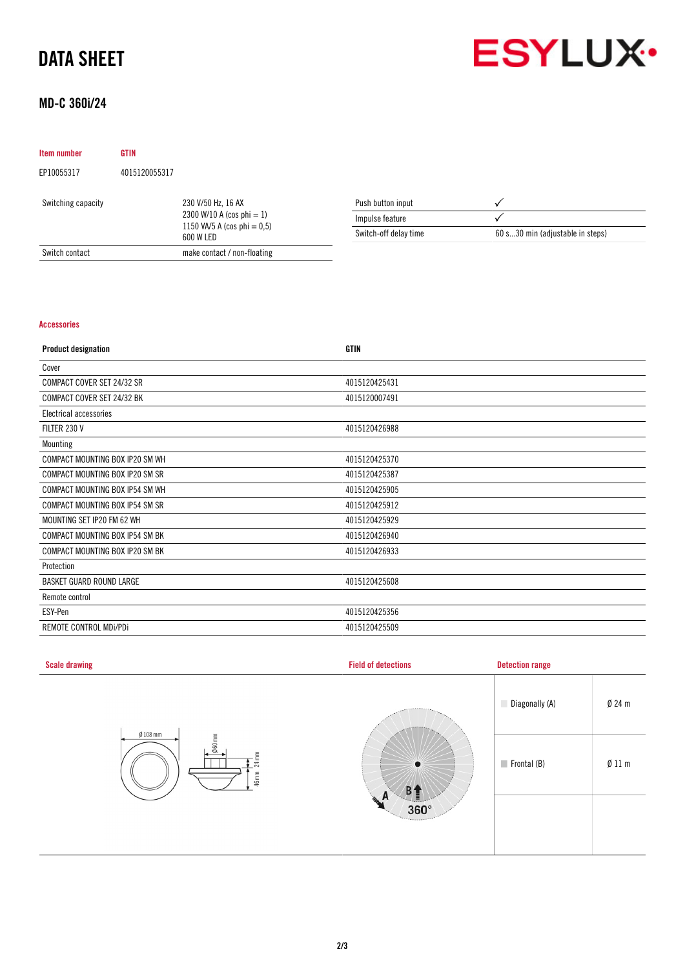# DATA SHEET



## MD-C 360i/24

| Item number        | <b>GTIN</b>                  |                                             |                       |                                  |
|--------------------|------------------------------|---------------------------------------------|-----------------------|----------------------------------|
| EP10055317         | 4015120055317                |                                             |                       |                                  |
| Switching capacity |                              | 230 V/50 Hz, 16 AX                          | Push button input     |                                  |
|                    | 2300 W/10 A (cos phi $= 1$ ) | Impulse feature                             |                       |                                  |
|                    |                              | 1150 VA/5 A (cos phi $= 0.5$ )<br>600 W LED | Switch-off delay time | 60 s30 min (adjustable in steps) |
| Switch contact     |                              | make contact / non-floating                 |                       |                                  |

### Accessories

| <b>Product designation</b>      | <b>GTIN</b>   |
|---------------------------------|---------------|
| Cover                           |               |
| COMPACT COVER SET 24/32 SR      | 4015120425431 |
| COMPACT COVER SET 24/32 BK      | 4015120007491 |
| Electrical accessories          |               |
| FILTER 230 V                    | 4015120426988 |
| Mounting                        |               |
| COMPACT MOUNTING BOX IP20 SM WH | 4015120425370 |
| COMPACT MOUNTING BOX IP20 SM SR | 4015120425387 |
| COMPACT MOUNTING BOX IP54 SM WH | 4015120425905 |
| COMPACT MOUNTING BOX IP54 SM SR | 4015120425912 |
| MOUNTING SET IP20 FM 62 WH      | 4015120425929 |
| COMPACT MOUNTING BOX IP54 SM BK | 4015120426940 |
| COMPACT MOUNTING BOX IP20 SM BK | 4015120426933 |
| Protection                      |               |
| <b>BASKET GUARD ROUND LARGE</b> | 4015120425608 |
| Remote control                  |               |
| ESY-Pen                         | 4015120425356 |
| REMOTE CONTROL MDI/PDI          | 4015120425509 |

| <b>Scale drawing</b>                                           | <b>Field of detections</b> | <b>Detection range</b>                         |  |
|----------------------------------------------------------------|----------------------------|------------------------------------------------|--|
|                                                                | <b>JARRIER</b>             | $Ø$ 24 m<br>Diagonally (A)                     |  |
| $Ø$ 108 mm<br>$060$ mm<br>$\mathop{\mathbb{E}}$<br>24<br>46 mm | $\bullet$<br>B4            | $\emptyset$ 11 m<br>$\blacksquare$ Frontal (B) |  |
|                                                                | n.<br>n<br>$360^\circ$     |                                                |  |